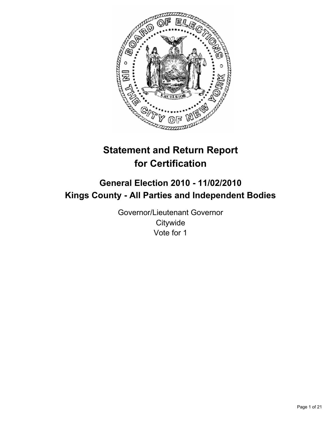

# **Statement and Return Report for Certification**

## **General Election 2010 - 11/02/2010 Kings County - All Parties and Independent Bodies**

Governor/Lieutenant Governor **Citywide** Vote for 1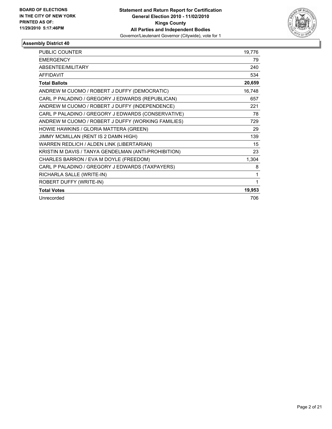

| <b>PUBLIC COUNTER</b>                                | 19,776 |
|------------------------------------------------------|--------|
| <b>EMERGENCY</b>                                     | 79     |
| <b>ABSENTEE/MILITARY</b>                             | 240    |
| <b>AFFIDAVIT</b>                                     | 534    |
| <b>Total Ballots</b>                                 | 20,659 |
| ANDREW M CUOMO / ROBERT J DUFFY (DEMOCRATIC)         | 16,748 |
| CARL P PALADINO / GREGORY J EDWARDS (REPUBLICAN)     | 657    |
| ANDREW M CUOMO / ROBERT J DUFFY (INDEPENDENCE)       | 221    |
| CARL P PALADINO / GREGORY J EDWARDS (CONSERVATIVE)   | 78     |
| ANDREW M CUOMO / ROBERT J DUFFY (WORKING FAMILIES)   | 729    |
| HOWIE HAWKINS / GLORIA MATTERA (GREEN)               | 29     |
| JIMMY MCMILLAN (RENT IS 2 DAMN HIGH)                 | 139    |
| WARREN REDLICH / ALDEN LINK (LIBERTARIAN)            | 15     |
| KRISTIN M DAVIS / TANYA GENDELMAN (ANTI-PROHIBITION) | 23     |
| CHARLES BARRON / EVA M DOYLE (FREEDOM)               | 1,304  |
| CARL P PALADINO / GREGORY J EDWARDS (TAXPAYERS)      | 8      |
| RICHARLA SALLE (WRITE-IN)                            | 1      |
| ROBERT DUFFY (WRITE-IN)                              | 1      |
| <b>Total Votes</b>                                   | 19,953 |
| Unrecorded                                           | 706    |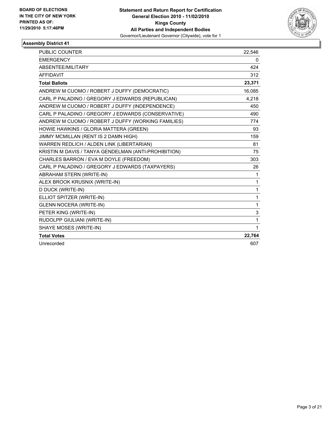

| <b>PUBLIC COUNTER</b>                                | 22,546       |
|------------------------------------------------------|--------------|
| <b>EMERGENCY</b>                                     | 0            |
| ABSENTEE/MILITARY                                    | 424          |
| <b>AFFIDAVIT</b>                                     | 312          |
| <b>Total Ballots</b>                                 | 23,371       |
| ANDREW M CUOMO / ROBERT J DUFFY (DEMOCRATIC)         | 16,085       |
| CARL P PALADINO / GREGORY J EDWARDS (REPUBLICAN)     | 4,218        |
| ANDREW M CUOMO / ROBERT J DUFFY (INDEPENDENCE)       | 450          |
| CARL P PALADINO / GREGORY J EDWARDS (CONSERVATIVE)   | 490          |
| ANDREW M CUOMO / ROBERT J DUFFY (WORKING FAMILIES)   | 774          |
| HOWIE HAWKINS / GLORIA MATTERA (GREEN)               | 93           |
| JIMMY MCMILLAN (RENT IS 2 DAMN HIGH)                 | 159          |
| WARREN REDLICH / ALDEN LINK (LIBERTARIAN)            | 81           |
| KRISTIN M DAVIS / TANYA GENDELMAN (ANTI-PROHIBITION) | 75           |
| CHARLES BARRON / EVA M DOYLE (FREEDOM)               | 303          |
| CARL P PALADINO / GREGORY J EDWARDS (TAXPAYERS)      | 26           |
| <b>ABRAHAM STERN (WRITE-IN)</b>                      | $\mathbf 1$  |
| ALEX BROOK KRUSNIX (WRITE-IN)                        | 1            |
| <b>D DUCK (WRITE-IN)</b>                             | $\mathbf{1}$ |
| ELLIOT SPITZER (WRITE-IN)                            | 1            |
| <b>GLENN NOCERA (WRITE-IN)</b>                       | $\mathbf{1}$ |
| PETER KING (WRITE-IN)                                | 3            |
| RUDOLPP GIULIANI (WRITE-IN)                          | $\mathbf{1}$ |
| SHAYE MOSES (WRITE-IN)                               | $\mathbf{1}$ |
| <b>Total Votes</b>                                   | 22,764       |
| Unrecorded                                           | 607          |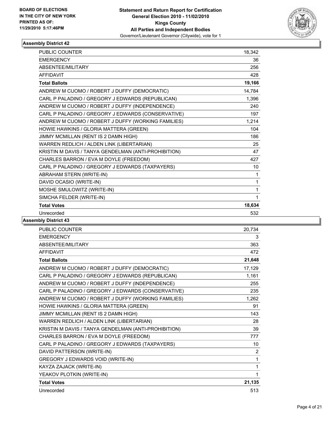

| <b>PUBLIC COUNTER</b>                                | 18,342 |
|------------------------------------------------------|--------|
| <b>EMERGENCY</b>                                     | 36     |
| <b>ABSENTEE/MILITARY</b>                             | 256    |
| <b>AFFIDAVIT</b>                                     | 428    |
| <b>Total Ballots</b>                                 | 19,166 |
| ANDREW M CUOMO / ROBERT J DUFFY (DEMOCRATIC)         | 14,784 |
| CARL P PALADINO / GREGORY J EDWARDS (REPUBLICAN)     | 1,396  |
| ANDREW M CUOMO / ROBERT J DUFFY (INDEPENDENCE)       | 240    |
| CARL P PALADINO / GREGORY J EDWARDS (CONSERVATIVE)   | 197    |
| ANDREW M CUOMO / ROBERT J DUFFY (WORKING FAMILIES)   | 1,214  |
| HOWIE HAWKINS / GLORIA MATTERA (GREEN)               | 104    |
| JIMMY MCMILLAN (RENT IS 2 DAMN HIGH)                 | 186    |
| WARREN REDLICH / ALDEN LINK (LIBERTARIAN)            | 25     |
| KRISTIN M DAVIS / TANYA GENDELMAN (ANTI-PROHIBITION) | 47     |
| CHARLES BARRON / EVA M DOYLE (FREEDOM)               | 427    |
| CARL P PALADINO / GREGORY J EDWARDS (TAXPAYERS)      | 10     |
| ABRAHAM STERN (WRITE-IN)                             | 1      |
| DAVID OCASIO (WRITE-IN)                              | 1      |
| MOSHE SMULOWITZ (WRITE-IN)                           | 1      |
| SIMCHA FELDER (WRITE-IN)                             | 1      |
| <b>Total Votes</b>                                   | 18,634 |
| Unrecorded                                           | 532    |

| <b>PUBLIC COUNTER</b>                                | 20,734 |
|------------------------------------------------------|--------|
| <b>EMERGENCY</b>                                     | 3      |
| ABSENTEE/MILITARY                                    | 363    |
| <b>AFFIDAVIT</b>                                     | 472    |
| <b>Total Ballots</b>                                 | 21,648 |
| ANDREW M CUOMO / ROBERT J DUFFY (DEMOCRATIC)         | 17,129 |
| CARL P PALADINO / GREGORY J EDWARDS (REPUBLICAN)     | 1,161  |
| ANDREW M CUOMO / ROBERT J DUFFY (INDEPENDENCE)       | 255    |
| CARL P PALADINO / GREGORY J EDWARDS (CONSERVATIVE)   | 235    |
| ANDREW M CUOMO / ROBERT J DUFFY (WORKING FAMILIES)   | 1,262  |
| HOWIE HAWKINS / GLORIA MATTERA (GREEN)               | 91     |
| JIMMY MCMILLAN (RENT IS 2 DAMN HIGH)                 | 143    |
| WARREN REDLICH / ALDEN LINK (LIBERTARIAN)            | 28     |
| KRISTIN M DAVIS / TANYA GENDELMAN (ANTI-PROHIBITION) | 39     |
| CHARLES BARRON / EVA M DOYLE (FREEDOM)               | 777    |
| CARL P PALADINO / GREGORY J EDWARDS (TAXPAYERS)      | 10     |
| DAVID PATTERSON (WRITE-IN)                           | 2      |
| GREGORY J EDWARDS VOID (WRITE-IN)                    | 1      |
| KAYZA ZAJACK (WRITE-IN)                              | 1      |
| YEAKOV PLOTKIN (WRITE-IN)                            | 1      |
| <b>Total Votes</b>                                   | 21,135 |
| Unrecorded                                           | 513    |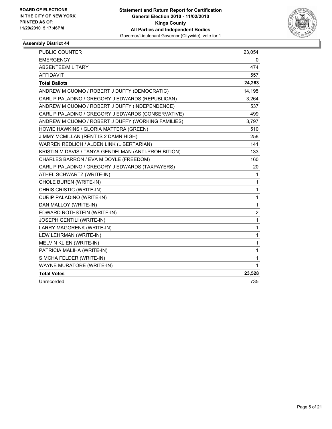

| PUBLIC COUNTER                                       | 23,054                  |
|------------------------------------------------------|-------------------------|
| <b>EMERGENCY</b>                                     | 0                       |
| ABSENTEE/MILITARY                                    | 474                     |
| <b>AFFIDAVIT</b>                                     | 557                     |
| <b>Total Ballots</b>                                 | 24,263                  |
| ANDREW M CUOMO / ROBERT J DUFFY (DEMOCRATIC)         | 14,195                  |
| CARL P PALADINO / GREGORY J EDWARDS (REPUBLICAN)     | 3,264                   |
| ANDREW M CUOMO / ROBERT J DUFFY (INDEPENDENCE)       | 537                     |
| CARL P PALADINO / GREGORY J EDWARDS (CONSERVATIVE)   | 499                     |
| ANDREW M CUOMO / ROBERT J DUFFY (WORKING FAMILIES)   | 3,797                   |
| HOWIE HAWKINS / GLORIA MATTERA (GREEN)               | 510                     |
| JIMMY MCMILLAN (RENT IS 2 DAMN HIGH)                 | 258                     |
| WARREN REDLICH / ALDEN LINK (LIBERTARIAN)            | 141                     |
| KRISTIN M DAVIS / TANYA GENDELMAN (ANTI-PROHIBITION) | 133                     |
| CHARLES BARRON / EVA M DOYLE (FREEDOM)               | 160                     |
| CARL P PALADINO / GREGORY J EDWARDS (TAXPAYERS)      | 20                      |
| ATHEL SCHWARTZ (WRITE-IN)                            | 1                       |
| CHOLE BUREN (WRITE-IN)                               | $\mathbf{1}$            |
| CHRIS CRISTIC (WRITE-IN)                             | $\mathbf 1$             |
| CURIP PALADINO (WRITE-IN)                            | $\mathbf{1}$            |
| DAN MALLOY (WRITE-IN)                                | $\mathbf{1}$            |
| EDWARD ROTHSTEIN (WRITE-IN)                          | $\overline{\mathbf{c}}$ |
| JOSEPH GENTILI (WRITE-IN)                            | 1                       |
| LARRY MAGGRENK (WRITE-IN)                            | $\mathbf{1}$            |
| LEW LEHRMAN (WRITE-IN)                               | $\mathbf{1}$            |
| MELVIN KLIEN (WRITE-IN)                              | $\mathbf{1}$            |
| PATRICIA MALIHA (WRITE-IN)                           | 1                       |
| SIMCHA FELDER (WRITE-IN)                             | $\mathbf{1}$            |
| WAYNE MURATORE (WRITE-IN)                            | 1                       |
| <b>Total Votes</b>                                   | 23,528                  |
| Unrecorded                                           | 735                     |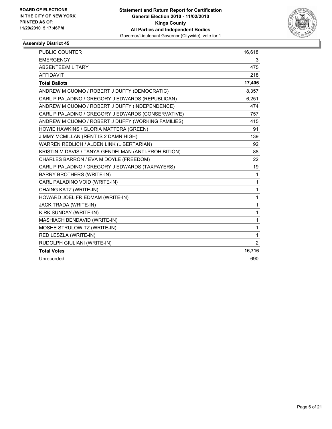

| <b>PUBLIC COUNTER</b>                                | 16,618       |
|------------------------------------------------------|--------------|
| <b>EMERGENCY</b>                                     | 3            |
| ABSENTEE/MILITARY                                    | 475          |
| <b>AFFIDAVIT</b>                                     | 218          |
| <b>Total Ballots</b>                                 | 17,406       |
| ANDREW M CUOMO / ROBERT J DUFFY (DEMOCRATIC)         | 8,357        |
| CARL P PALADINO / GREGORY J EDWARDS (REPUBLICAN)     | 6,251        |
| ANDREW M CUOMO / ROBERT J DUFFY (INDEPENDENCE)       | 474          |
| CARL P PALADINO / GREGORY J EDWARDS (CONSERVATIVE)   | 757          |
| ANDREW M CUOMO / ROBERT J DUFFY (WORKING FAMILIES)   | 415          |
| HOWIE HAWKINS / GLORIA MATTERA (GREEN)               | 91           |
| JIMMY MCMILLAN (RENT IS 2 DAMN HIGH)                 | 139          |
| WARREN REDLICH / ALDEN LINK (LIBERTARIAN)            | 92           |
| KRISTIN M DAVIS / TANYA GENDELMAN (ANTI-PROHIBITION) | 88           |
| CHARLES BARRON / EVA M DOYLE (FREEDOM)               | 22           |
| CARL P PALADINO / GREGORY J EDWARDS (TAXPAYERS)      | 19           |
| <b>BARRY BROTHERS (WRITE-IN)</b>                     | $\mathbf{1}$ |
| CARL PALADINO VOID (WRITE-IN)                        | $\mathbf{1}$ |
| CHAING KATZ (WRITE-IN)                               | $\mathbf{1}$ |
| HOWARD JOEL FRIEDMAM (WRITE-IN)                      | $\mathbf{1}$ |
| JACK TRADA (WRITE-IN)                                | 1            |
| KIRK SUNDAY (WRITE-IN)                               | $\mathbf{1}$ |
| MASHIACH BENDAVID (WRITE-IN)                         | $\mathbf{1}$ |
| MOSHE STRULOWITZ (WRITE-IN)                          | $\mathbf{1}$ |
| RED LESZLA (WRITE-IN)                                | 1            |
| RUDOLPH GIULIANI (WRITE-IN)                          | 2            |
| <b>Total Votes</b>                                   | 16,716       |
| Unrecorded                                           | 690          |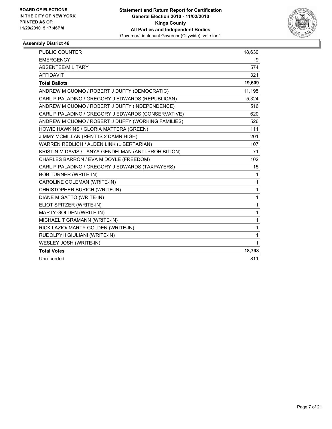

| <b>PUBLIC COUNTER</b>                                | 18,630       |
|------------------------------------------------------|--------------|
| <b>EMERGENCY</b>                                     | 9            |
| ABSENTEE/MILITARY                                    | 574          |
| <b>AFFIDAVIT</b>                                     | 321          |
| <b>Total Ballots</b>                                 | 19,609       |
| ANDREW M CUOMO / ROBERT J DUFFY (DEMOCRATIC)         | 11,195       |
| CARL P PALADINO / GREGORY J EDWARDS (REPUBLICAN)     | 5,324        |
| ANDREW M CUOMO / ROBERT J DUFFY (INDEPENDENCE)       | 516          |
| CARL P PALADINO / GREGORY J EDWARDS (CONSERVATIVE)   | 620          |
| ANDREW M CUOMO / ROBERT J DUFFY (WORKING FAMILIES)   | 526          |
| HOWIE HAWKINS / GLORIA MATTERA (GREEN)               | 111          |
| JIMMY MCMILLAN (RENT IS 2 DAMN HIGH)                 | 201          |
| WARREN REDLICH / ALDEN LINK (LIBERTARIAN)            | 107          |
| KRISTIN M DAVIS / TANYA GENDELMAN (ANTI-PROHIBITION) | 71           |
| CHARLES BARRON / EVA M DOYLE (FREEDOM)               | 102          |
| CARL P PALADINO / GREGORY J EDWARDS (TAXPAYERS)      | 15           |
| <b>BOB TURNER (WRITE-IN)</b>                         | 1            |
| CAROLINE COLEMAN (WRITE-IN)                          | 1            |
| CHRISTOPHER BURICH (WRITE-IN)                        | $\mathbf{1}$ |
| DIANE M GATTO (WRITE-IN)                             | 1            |
| ELIOT SPITZER (WRITE-IN)                             | $\mathbf{1}$ |
| MARTY GOLDEN (WRITE-IN)                              | 1            |
| MICHAEL T GRAMANN (WRITE-IN)                         | 1            |
| RICK LAZIO/ MARTY GOLDEN (WRITE-IN)                  | $\mathbf{1}$ |
| RUDOLPYH GIULIANI (WRITE-IN)                         | 1            |
| WESLEY JOSH (WRITE-IN)                               | 1            |
| <b>Total Votes</b>                                   | 18,798       |
| Unrecorded                                           | 811          |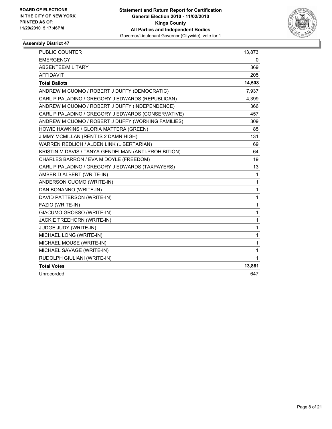

| <b>PUBLIC COUNTER</b>                                | 13,873       |
|------------------------------------------------------|--------------|
| <b>EMERGENCY</b>                                     | 0            |
| ABSENTEE/MILITARY                                    | 369          |
| <b>AFFIDAVIT</b>                                     | 205          |
| <b>Total Ballots</b>                                 | 14,508       |
| ANDREW M CUOMO / ROBERT J DUFFY (DEMOCRATIC)         | 7,937        |
| CARL P PALADINO / GREGORY J EDWARDS (REPUBLICAN)     | 4,399        |
| ANDREW M CUOMO / ROBERT J DUFFY (INDEPENDENCE)       | 366          |
| CARL P PALADINO / GREGORY J EDWARDS (CONSERVATIVE)   | 457          |
| ANDREW M CUOMO / ROBERT J DUFFY (WORKING FAMILIES)   | 309          |
| HOWIE HAWKINS / GLORIA MATTERA (GREEN)               | 85           |
| JIMMY MCMILLAN (RENT IS 2 DAMN HIGH)                 | 131          |
| WARREN REDLICH / ALDEN LINK (LIBERTARIAN)            | 69           |
| KRISTIN M DAVIS / TANYA GENDELMAN (ANTI-PROHIBITION) | 64           |
| CHARLES BARRON / EVA M DOYLE (FREEDOM)               | 19           |
| CARL P PALADINO / GREGORY J EDWARDS (TAXPAYERS)      | 13           |
| AMBER D ALBERT (WRITE-IN)                            | $\mathbf{1}$ |
| ANDERSON CUOMO (WRITE-IN)                            | $\mathbf{1}$ |
| DAN BONANNO (WRITE-IN)                               | $\mathbf{1}$ |
| DAVID PATTERSON (WRITE-IN)                           | $\mathbf{1}$ |
| FAZIO (WRITE-IN)                                     | $\mathbf{1}$ |
| GIACUMO GROSSO (WRITE-IN)                            | $\mathbf{1}$ |
| JACKIE TREEHORN (WRITE-IN)                           | 1            |
| JUDGE JUDY (WRITE-IN)                                | 1            |
| MICHAEL LONG (WRITE-IN)                              | 1            |
| MICHAEL MOUSE (WRITE-IN)                             | $\mathbf{1}$ |
| MICHAEL SAVAGE (WRITE-IN)                            | $\mathbf{1}$ |
| RUDOLPH GIULIANI (WRITE-IN)                          | 1            |
| <b>Total Votes</b>                                   | 13,861       |
| Unrecorded                                           | 647          |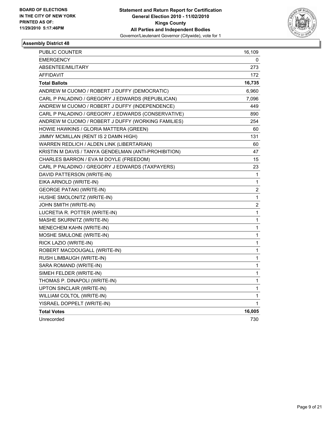

| PUBLIC COUNTER                                       | 16,109                  |
|------------------------------------------------------|-------------------------|
| <b>EMERGENCY</b>                                     | 0                       |
| ABSENTEE/MILITARY                                    | 273                     |
| <b>AFFIDAVIT</b>                                     | 172                     |
| <b>Total Ballots</b>                                 | 16,735                  |
| ANDREW M CUOMO / ROBERT J DUFFY (DEMOCRATIC)         | 6,960                   |
| CARL P PALADINO / GREGORY J EDWARDS (REPUBLICAN)     | 7,096                   |
| ANDREW M CUOMO / ROBERT J DUFFY (INDEPENDENCE)       | 449                     |
| CARL P PALADINO / GREGORY J EDWARDS (CONSERVATIVE)   | 890                     |
| ANDREW M CUOMO / ROBERT J DUFFY (WORKING FAMILIES)   | 254                     |
| HOWIE HAWKINS / GLORIA MATTERA (GREEN)               | 60                      |
| JIMMY MCMILLAN (RENT IS 2 DAMN HIGH)                 | 131                     |
| WARREN REDLICH / ALDEN LINK (LIBERTARIAN)            | 60                      |
| KRISTIN M DAVIS / TANYA GENDELMAN (ANTI-PROHIBITION) | 47                      |
| CHARLES BARRON / EVA M DOYLE (FREEDOM)               | 15                      |
| CARL P PALADINO / GREGORY J EDWARDS (TAXPAYERS)      | 23                      |
| DAVID PATTERSON (WRITE-IN)                           | 1                       |
| EIKA ARNOLD (WRITE-IN)                               | 1                       |
| <b>GEORGE PATAKI (WRITE-IN)</b>                      | 2                       |
| HUSHE SMOLONITZ (WRITE-IN)                           | 1                       |
| JOHN SMITH (WRITE-IN)                                | $\overline{\mathbf{c}}$ |
| LUCRETIA R. POTTER (WRITE-IN)                        | 1                       |
| MASHE SKURNITZ (WRITE-IN)                            | 1                       |
| MENECHEM KAHN (WRITE-IN)                             | 1                       |
| MOSHE SMULONE (WRITE-IN)                             | $\mathbf 1$             |
| RICK LAZIO (WRITE-IN)                                | $\mathbf 1$             |
| ROBERT MACDOUGALL (WRITE-IN)                         | 1                       |
| RUSH LIMBAUGH (WRITE-IN)                             | 1                       |
| SARA ROMAND (WRITE-IN)                               | 1                       |
| SIMEH FELDER (WRITE-IN)                              | 1                       |
| THOMAS P. DINAPOLI (WRITE-IN)                        | 1                       |
| UPTON SINCLAIR (WRITE-IN)                            | 1                       |
| WILLIAM COLTOL (WRITE-IN)                            | 1                       |
| YISRAEL DOPPELT (WRITE-IN)                           | 1                       |
| <b>Total Votes</b>                                   | 16,005                  |
| Unrecorded                                           | 730                     |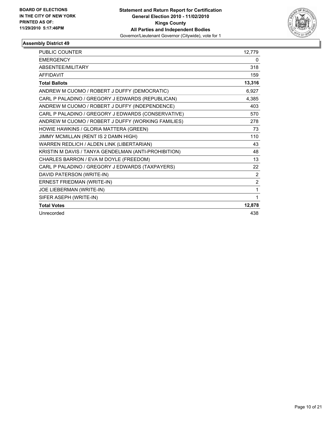

| PUBLIC COUNTER                                       | 12,779         |
|------------------------------------------------------|----------------|
| <b>EMERGENCY</b>                                     | 0              |
| ABSENTEE/MILITARY                                    | 318            |
| <b>AFFIDAVIT</b>                                     | 159            |
| <b>Total Ballots</b>                                 | 13,316         |
| ANDREW M CUOMO / ROBERT J DUFFY (DEMOCRATIC)         | 6,927          |
| CARL P PALADINO / GREGORY J EDWARDS (REPUBLICAN)     | 4,385          |
| ANDREW M CUOMO / ROBERT J DUFFY (INDEPENDENCE)       | 403            |
| CARL P PALADINO / GREGORY J EDWARDS (CONSERVATIVE)   | 570            |
| ANDREW M CUOMO / ROBERT J DUFFY (WORKING FAMILIES)   | 278            |
| HOWIE HAWKINS / GLORIA MATTERA (GREEN)               | 73             |
| JIMMY MCMILLAN (RENT IS 2 DAMN HIGH)                 | 110            |
| WARREN REDLICH / ALDEN LINK (LIBERTARIAN)            | 43             |
| KRISTIN M DAVIS / TANYA GENDELMAN (ANTI-PROHIBITION) | 48             |
| CHARLES BARRON / EVA M DOYLE (FREEDOM)               | 13             |
| CARL P PALADINO / GREGORY J EDWARDS (TAXPAYERS)      | 22             |
| DAVID PATERSON (WRITE-IN)                            | 2              |
| ERNEST FRIEDMAN (WRITE-IN)                           | $\overline{2}$ |
| JOE LIEBERMAN (WRITE-IN)                             | 1              |
| SIFER ASEPH (WRITE-IN)                               | 1              |
| <b>Total Votes</b>                                   | 12,878         |
| Unrecorded                                           | 438            |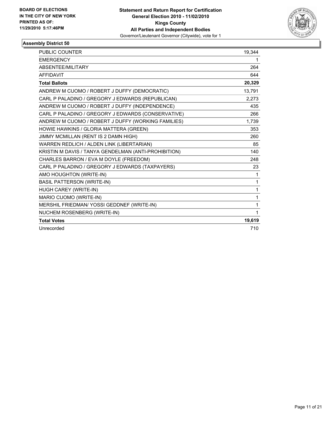

| PUBLIC COUNTER                                       | 19,344       |
|------------------------------------------------------|--------------|
| <b>EMERGENCY</b>                                     | 1            |
| ABSENTEE/MILITARY                                    | 264          |
| <b>AFFIDAVIT</b>                                     | 644          |
| <b>Total Ballots</b>                                 | 20,329       |
| ANDREW M CUOMO / ROBERT J DUFFY (DEMOCRATIC)         | 13,791       |
| CARL P PALADINO / GREGORY J EDWARDS (REPUBLICAN)     | 2,273        |
| ANDREW M CUOMO / ROBERT J DUFFY (INDEPENDENCE)       | 435          |
| CARL P PALADINO / GREGORY J EDWARDS (CONSERVATIVE)   | 266          |
| ANDREW M CUOMO / ROBERT J DUFFY (WORKING FAMILIES)   | 1,739        |
| HOWIE HAWKINS / GLORIA MATTERA (GREEN)               | 353          |
| JIMMY MCMILLAN (RENT IS 2 DAMN HIGH)                 | 260          |
| WARREN REDLICH / ALDEN LINK (LIBERTARIAN)            | 85           |
| KRISTIN M DAVIS / TANYA GENDELMAN (ANTI-PROHIBITION) | 140          |
| CHARLES BARRON / EVA M DOYLE (FREEDOM)               | 248          |
| CARL P PALADINO / GREGORY J EDWARDS (TAXPAYERS)      | 23           |
| AMO HOUGHTON (WRITE-IN)                              | $\mathbf 1$  |
| <b>BASIL PATTERSON (WRITE-IN)</b>                    | $\mathbf{1}$ |
| HUGH CAREY (WRITE-IN)                                | 1            |
| MARIO CUOMO (WRITE-IN)                               | $\mathbf{1}$ |
| MERSHIL FRIEDMAN/ YOSSI GEDDNEF (WRITE-IN)           | 1            |
| NUCHEM ROSENBERG (WRITE-IN)                          | $\mathbf 1$  |
| <b>Total Votes</b>                                   | 19,619       |
| Unrecorded                                           | 710          |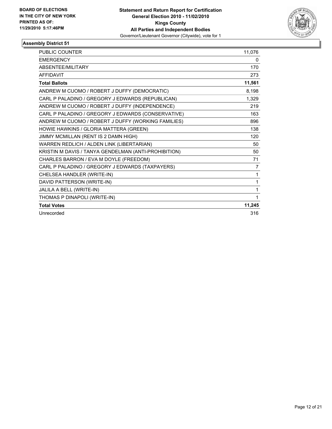

| <b>PUBLIC COUNTER</b>                                | 11,076 |
|------------------------------------------------------|--------|
| <b>EMERGENCY</b>                                     | 0      |
| ABSENTEE/MILITARY                                    | 170    |
| <b>AFFIDAVIT</b>                                     | 273    |
| <b>Total Ballots</b>                                 | 11,561 |
| ANDREW M CUOMO / ROBERT J DUFFY (DEMOCRATIC)         | 8,198  |
| CARL P PALADINO / GREGORY J EDWARDS (REPUBLICAN)     | 1,329  |
| ANDREW M CUOMO / ROBERT J DUFFY (INDEPENDENCE)       | 219    |
| CARL P PALADINO / GREGORY J EDWARDS (CONSERVATIVE)   | 163    |
| ANDREW M CUOMO / ROBERT J DUFFY (WORKING FAMILIES)   | 896    |
| HOWIE HAWKINS / GLORIA MATTERA (GREEN)               | 138    |
| JIMMY MCMILLAN (RENT IS 2 DAMN HIGH)                 | 120    |
| WARREN REDLICH / ALDEN LINK (LIBERTARIAN)            | 50     |
| KRISTIN M DAVIS / TANYA GENDELMAN (ANTI-PROHIBITION) | 50     |
| CHARLES BARRON / EVA M DOYLE (FREEDOM)               | 71     |
| CARL P PALADINO / GREGORY J EDWARDS (TAXPAYERS)      | 7      |
| CHELSEA HANDLER (WRITE-IN)                           | 1      |
| DAVID PATTERSON (WRITE-IN)                           | 1      |
| JALILA A BELL (WRITE-IN)                             | 1      |
| THOMAS P DINAPOLI (WRITE-IN)                         | 1      |
| <b>Total Votes</b>                                   | 11,245 |
| Unrecorded                                           | 316    |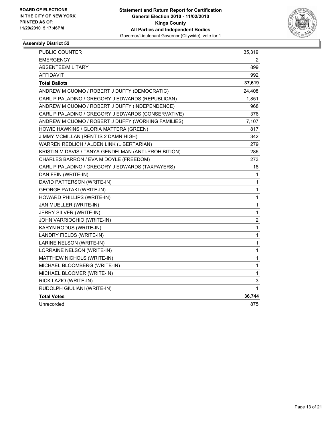

| <b>PUBLIC COUNTER</b>                                | 35,319                  |
|------------------------------------------------------|-------------------------|
| <b>EMERGENCY</b>                                     | 2                       |
| ABSENTEE/MILITARY                                    | 899                     |
| <b>AFFIDAVIT</b>                                     | 992                     |
| <b>Total Ballots</b>                                 | 37,619                  |
| ANDREW M CUOMO / ROBERT J DUFFY (DEMOCRATIC)         | 24,408                  |
| CARL P PALADINO / GREGORY J EDWARDS (REPUBLICAN)     | 1,851                   |
| ANDREW M CUOMO / ROBERT J DUFFY (INDEPENDENCE)       | 968                     |
| CARL P PALADINO / GREGORY J EDWARDS (CONSERVATIVE)   | 376                     |
| ANDREW M CUOMO / ROBERT J DUFFY (WORKING FAMILIES)   | 7,107                   |
| HOWIE HAWKINS / GLORIA MATTERA (GREEN)               | 817                     |
| JIMMY MCMILLAN (RENT IS 2 DAMN HIGH)                 | 342                     |
| WARREN REDLICH / ALDEN LINK (LIBERTARIAN)            | 279                     |
| KRISTIN M DAVIS / TANYA GENDELMAN (ANTI-PROHIBITION) | 286                     |
| CHARLES BARRON / EVA M DOYLE (FREEDOM)               | 273                     |
| CARL P PALADINO / GREGORY J EDWARDS (TAXPAYERS)      | 18                      |
| DAN FEIN (WRITE-IN)                                  | 1                       |
| DAVID PATTERSON (WRITE-IN)                           | 1                       |
| <b>GEORGE PATAKI (WRITE-IN)</b>                      | 1                       |
| HOWARD PHILLIPS (WRITE-IN)                           | 1                       |
| JAN MUELLER (WRITE-IN)                               | 1                       |
| JERRY SILVER (WRITE-IN)                              | 1                       |
| JOHN VARRIOCHIO (WRITE-IN)                           | $\overline{\mathbf{c}}$ |
| KARYN RODUS (WRITE-IN)                               | 1                       |
| LANDRY FIELDS (WRITE-IN)                             | 1                       |
| LARINE NELSON (WRITE-IN)                             | 1                       |
| LORRAINE NELSON (WRITE-IN)                           | $\mathbf{1}$            |
| MATTHEW NICHOLS (WRITE-IN)                           | $\mathbf{1}$            |
| MICHAEL BLOOMBERG (WRITE-IN)                         | 1                       |
| MICHAEL BLOOMER (WRITE-IN)                           | 1                       |
| RICK LAZIO (WRITE-IN)                                | 3                       |
| RUDOLPH GIULIANI (WRITE-IN)                          | 1                       |
| <b>Total Votes</b>                                   | 36,744                  |
| Unrecorded                                           | 875                     |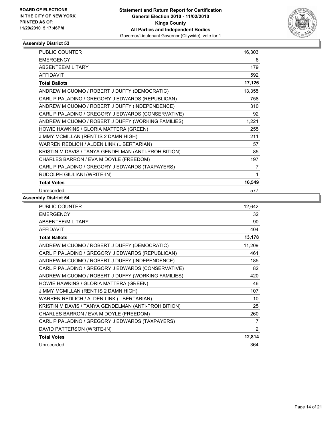

| <b>PUBLIC COUNTER</b>                                | 16,303 |
|------------------------------------------------------|--------|
| <b>EMERGENCY</b>                                     | 6      |
| ABSENTEE/MILITARY                                    | 179    |
| <b>AFFIDAVIT</b>                                     | 592    |
| <b>Total Ballots</b>                                 | 17,126 |
| ANDREW M CUOMO / ROBERT J DUFFY (DEMOCRATIC)         | 13,355 |
| CARL P PALADINO / GREGORY J EDWARDS (REPUBLICAN)     | 758    |
| ANDREW M CUOMO / ROBERT J DUFFY (INDEPENDENCE)       | 310    |
| CARL P PALADINO / GREGORY J EDWARDS (CONSERVATIVE)   | 92     |
| ANDREW M CUOMO / ROBERT J DUFFY (WORKING FAMILIES)   | 1,221  |
| HOWIE HAWKINS / GLORIA MATTERA (GREEN)               | 255    |
| JIMMY MCMILLAN (RENT IS 2 DAMN HIGH)                 | 211    |
| WARREN REDLICH / ALDEN LINK (LIBERTARIAN)            | 57     |
| KRISTIN M DAVIS / TANYA GENDELMAN (ANTI-PROHIBITION) | 85     |
| CHARLES BARRON / EVA M DOYLE (FREEDOM)               | 197    |
| CARL P PALADINO / GREGORY J EDWARDS (TAXPAYERS)      | 7      |
| RUDOLPH GIULIANI (WRITE-IN)                          | 1      |
| <b>Total Votes</b>                                   | 16,549 |
| Unrecorded                                           | 577    |

| <b>PUBLIC COUNTER</b>                                | 12,642         |
|------------------------------------------------------|----------------|
| <b>EMERGENCY</b>                                     | 32             |
| ABSENTEE/MILITARY                                    | 90             |
| <b>AFFIDAVIT</b>                                     | 404            |
| <b>Total Ballots</b>                                 | 13,178         |
| ANDREW M CUOMO / ROBERT J DUFFY (DEMOCRATIC)         | 11,209         |
| CARL P PALADINO / GREGORY J EDWARDS (REPUBLICAN)     | 461            |
| ANDREW M CUOMO / ROBERT J DUFFY (INDEPENDENCE)       | 185            |
| CARL P PALADINO / GREGORY J EDWARDS (CONSERVATIVE)   | 82             |
| ANDREW M CUOMO / ROBERT J DUFFY (WORKING FAMILIES)   | 420            |
| HOWIE HAWKINS / GLORIA MATTERA (GREEN)               | 46             |
| JIMMY MCMILLAN (RENT IS 2 DAMN HIGH)                 | 107            |
| WARREN REDLICH / ALDEN LINK (LIBERTARIAN)            | 10             |
| KRISTIN M DAVIS / TANYA GENDELMAN (ANTI-PROHIBITION) | 25             |
| CHARLES BARRON / EVA M DOYLE (FREEDOM)               | 260            |
| CARL P PALADINO / GREGORY J EDWARDS (TAXPAYERS)      | $\overline{7}$ |
| DAVID PATTERSON (WRITE-IN)                           | $\overline{2}$ |
| <b>Total Votes</b>                                   | 12,814         |
| Unrecorded                                           | 364            |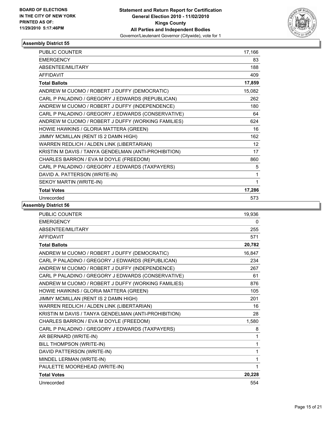

| PUBLIC COUNTER                                       | 17,166          |
|------------------------------------------------------|-----------------|
| <b>EMERGENCY</b>                                     | 83              |
| ABSENTEE/MILITARY                                    | 188             |
| <b>AFFIDAVIT</b>                                     | 409             |
| <b>Total Ballots</b>                                 | 17,859          |
| ANDREW M CUOMO / ROBERT J DUFFY (DEMOCRATIC)         | 15,082          |
| CARL P PALADINO / GREGORY J EDWARDS (REPUBLICAN)     | 262             |
| ANDREW M CUOMO / ROBERT J DUFFY (INDEPENDENCE)       | 180             |
| CARL P PALADINO / GREGORY J EDWARDS (CONSERVATIVE)   | 64              |
| ANDREW M CUOMO / ROBERT J DUFFY (WORKING FAMILIES)   | 624             |
| HOWIE HAWKINS / GLORIA MATTERA (GREEN)               | 16              |
| JIMMY MCMILLAN (RENT IS 2 DAMN HIGH)                 | 162             |
| WARREN REDLICH / ALDEN LINK (LIBERTARIAN)            | 12 <sup>2</sup> |
| KRISTIN M DAVIS / TANYA GENDELMAN (ANTI-PROHIBITION) | 17              |
| CHARLES BARRON / EVA M DOYLE (FREEDOM)               | 860             |
| CARL P PALADINO / GREGORY J EDWARDS (TAXPAYERS)      | 5               |
| DAVID A. PATTERSON (WRITE-IN)                        | 1               |
| SEKOY MARTIN (WRITE-IN)                              | 1               |
| <b>Total Votes</b>                                   | 17,286          |
| Unrecorded                                           | 573             |

| <b>PUBLIC COUNTER</b>                                | 19,936 |
|------------------------------------------------------|--------|
| <b>EMERGENCY</b>                                     | 0      |
| ABSENTEE/MILITARY                                    | 255    |
| <b>AFFIDAVIT</b>                                     | 571    |
| <b>Total Ballots</b>                                 | 20,782 |
| ANDREW M CUOMO / ROBERT J DUFFY (DEMOCRATIC)         | 16,847 |
| CARL P PALADINO / GREGORY J EDWARDS (REPUBLICAN)     | 234    |
| ANDREW M CUOMO / ROBERT J DUFFY (INDEPENDENCE)       | 267    |
| CARL P PALADINO / GREGORY J EDWARDS (CONSERVATIVE)   | 61     |
| ANDREW M CUOMO / ROBERT J DUFFY (WORKING FAMILIES)   | 876    |
| HOWIE HAWKINS / GLORIA MATTERA (GREEN)               | 105    |
| JIMMY MCMILLAN (RENT IS 2 DAMN HIGH)                 | 201    |
| WARREN REDLICH / ALDEN LINK (LIBERTARIAN)            | 16     |
| KRISTIN M DAVIS / TANYA GENDELMAN (ANTI-PROHIBITION) | 28     |
| CHARLES BARRON / EVA M DOYLE (FREEDOM)               | 1,580  |
| CARL P PALADINO / GREGORY J EDWARDS (TAXPAYERS)      | 8      |
| AR BERNARD (WRITE-IN)                                | 1      |
| BILL THOMPSON (WRITE-IN)                             | 1      |
| DAVID PATTERSON (WRITE-IN)                           | 1      |
| MINDEL LERMAN (WRITE-IN)                             | 1      |
| PAULETTE MOOREHEAD (WRITE-IN)                        | 1      |
| <b>Total Votes</b>                                   | 20,228 |
| Unrecorded                                           | 554    |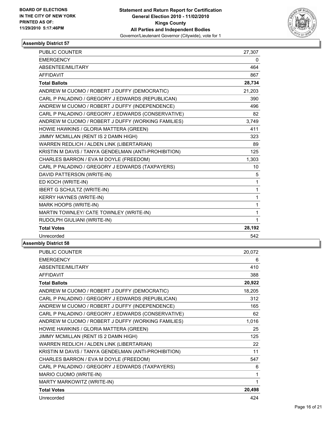

| <b>PUBLIC COUNTER</b>                                | 27,307       |
|------------------------------------------------------|--------------|
| <b>EMERGENCY</b>                                     | 0            |
| ABSENTEE/MILITARY                                    | 464          |
| <b>AFFIDAVIT</b>                                     | 867          |
| <b>Total Ballots</b>                                 | 28,734       |
| ANDREW M CUOMO / ROBERT J DUFFY (DEMOCRATIC)         | 21,203       |
| CARL P PALADINO / GREGORY J EDWARDS (REPUBLICAN)     | 390          |
| ANDREW M CUOMO / ROBERT J DUFFY (INDEPENDENCE)       | 496          |
| CARL P PALADINO / GREGORY J EDWARDS (CONSERVATIVE)   | 82           |
| ANDREW M CUOMO / ROBERT J DUFFY (WORKING FAMILIES)   | 3,749        |
| HOWIE HAWKINS / GLORIA MATTERA (GREEN)               | 411          |
| JIMMY MCMILLAN (RENT IS 2 DAMN HIGH)                 | 323          |
| WARREN REDLICH / ALDEN LINK (LIBERTARIAN)            | 89           |
| KRISTIN M DAVIS / TANYA GENDELMAN (ANTI-PROHIBITION) | 125          |
| CHARLES BARRON / EVA M DOYLE (FREEDOM)               | 1,303        |
| CARL P PALADINO / GREGORY J EDWARDS (TAXPAYERS)      | 10           |
| DAVID PATTERSON (WRITE-IN)                           | 5            |
| ED KOCH (WRITE-IN)                                   | $\mathbf 1$  |
| <b>IBERT G SCHULTZ (WRITE-IN)</b>                    | $\mathbf 1$  |
| <b>KERRY HAYNES (WRITE-IN)</b>                       | 1            |
| MARK HOOPS (WRITE-IN)                                | $\mathbf{1}$ |
| MARTIN TOWNLEY/ CATE TOWNLEY (WRITE-IN)              | $\mathbf{1}$ |
| RUDOLPH GIULIANI (WRITE-IN)                          | $\mathbf{1}$ |
| <b>Total Votes</b>                                   | 28,192       |
| Unrecorded                                           | 542          |

| <b>PUBLIC COUNTER</b>                                | 20,072 |
|------------------------------------------------------|--------|
| <b>EMERGENCY</b>                                     | 6      |
| ABSENTEE/MILITARY                                    | 410    |
| <b>AFFIDAVIT</b>                                     | 388    |
| <b>Total Ballots</b>                                 | 20,922 |
| ANDREW M CUOMO / ROBERT J DUFFY (DEMOCRATIC)         | 18,205 |
| CARL P PALADINO / GREGORY J EDWARDS (REPUBLICAN)     | 312    |
| ANDREW M CUOMO / ROBERT J DUFFY (INDEPENDENCE)       | 165    |
| CARL P PALADINO / GREGORY J EDWARDS (CONSERVATIVE)   | 62     |
| ANDREW M CUOMO / ROBERT J DUFFY (WORKING FAMILIES)   | 1,016  |
| HOWIE HAWKINS / GLORIA MATTERA (GREEN)               | 25     |
| JIMMY MCMILLAN (RENT IS 2 DAMN HIGH)                 | 125    |
| WARREN REDLICH / ALDEN LINK (LIBERTARIAN)            | 22     |
| KRISTIN M DAVIS / TANYA GENDELMAN (ANTI-PROHIBITION) | 11     |
| CHARLES BARRON / EVA M DOYLE (FREEDOM)               | 547    |
| CARL P PALADINO / GREGORY J EDWARDS (TAXPAYERS)      | 6      |
| MARIO CUOMO (WRITE-IN)                               | 1      |
| MARTY MARKOWITZ (WRITE-IN)                           | 1      |
| <b>Total Votes</b>                                   | 20,498 |
| Unrecorded                                           | 424    |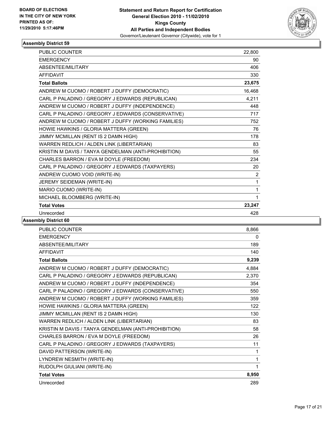

| <b>PUBLIC COUNTER</b>                                | 22,800 |
|------------------------------------------------------|--------|
| <b>EMERGENCY</b>                                     | 90     |
| ABSENTEE/MILITARY                                    | 406    |
| <b>AFFIDAVIT</b>                                     | 330    |
| <b>Total Ballots</b>                                 | 23,675 |
| ANDREW M CUOMO / ROBERT J DUFFY (DEMOCRATIC)         | 16,468 |
| CARL P PALADINO / GREGORY J EDWARDS (REPUBLICAN)     | 4,211  |
| ANDREW M CUOMO / ROBERT J DUFFY (INDEPENDENCE)       | 448    |
| CARL P PALADINO / GREGORY J EDWARDS (CONSERVATIVE)   | 717    |
| ANDREW M CUOMO / ROBERT J DUFFY (WORKING FAMILIES)   | 752    |
| HOWIE HAWKINS / GLORIA MATTERA (GREEN)               | 76     |
| JIMMY MCMILLAN (RENT IS 2 DAMN HIGH)                 | 178    |
| WARREN REDLICH / ALDEN LINK (LIBERTARIAN)            | 83     |
| KRISTIN M DAVIS / TANYA GENDELMAN (ANTI-PROHIBITION) | 55     |
| CHARLES BARRON / EVA M DOYLE (FREEDOM)               | 234    |
| CARL P PALADINO / GREGORY J EDWARDS (TAXPAYERS)      | 20     |
| ANDREW CUOMO VOID (WRITE-IN)                         | 2      |
| JEREMY SEIDEMAN (WRITE-IN)                           | 1      |
| MARIO CUOMO (WRITE-IN)                               | 1      |
| MICHAEL BLOOMBERG (WRITE-IN)                         | 1      |
| <b>Total Votes</b>                                   | 23,247 |
| Unrecorded                                           | 428    |

| <b>PUBLIC COUNTER</b>                                | 8,866 |
|------------------------------------------------------|-------|
| <b>EMERGENCY</b>                                     | 0     |
| ABSENTEE/MILITARY                                    | 189   |
| <b>AFFIDAVIT</b>                                     | 140   |
| <b>Total Ballots</b>                                 | 9,239 |
| ANDREW M CUOMO / ROBERT J DUFFY (DEMOCRATIC)         | 4,884 |
| CARL P PALADINO / GREGORY J EDWARDS (REPUBLICAN)     | 2,370 |
| ANDREW M CUOMO / ROBERT J DUFFY (INDEPENDENCE)       | 354   |
| CARL P PALADINO / GREGORY J EDWARDS (CONSERVATIVE)   | 550   |
| ANDREW M CUOMO / ROBERT J DUFFY (WORKING FAMILIES)   | 359   |
| HOWIE HAWKINS / GLORIA MATTERA (GREEN)               | 122   |
| JIMMY MCMILLAN (RENT IS 2 DAMN HIGH)                 | 130   |
| WARREN REDLICH / ALDEN LINK (LIBERTARIAN)            | 83    |
| KRISTIN M DAVIS / TANYA GENDELMAN (ANTI-PROHIBITION) | 58    |
| CHARLES BARRON / EVA M DOYLE (FREEDOM)               | 26    |
| CARL P PALADINO / GREGORY J EDWARDS (TAXPAYERS)      | 11    |
| DAVID PATTERSON (WRITE-IN)                           | 1     |
| LYNDREW NESMITH (WRITE-IN)                           | 1     |
| RUDOLPH GIULIANI (WRITE-IN)                          | 1     |
| <b>Total Votes</b>                                   | 8,950 |
| Unrecorded                                           | 289   |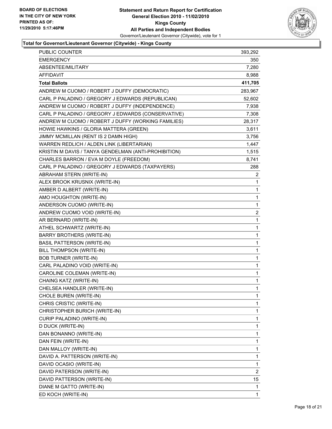

#### **Total for Governor/Lieutenant Governor (Citywide) - Kings County**

| PUBLIC COUNTER                                       | 393,292                 |
|------------------------------------------------------|-------------------------|
| <b>EMERGENCY</b>                                     | 350                     |
| ABSENTEE/MILITARY                                    | 7,280                   |
| AFFIDAVIT                                            | 8,988                   |
| <b>Total Ballots</b>                                 | 411,705                 |
| ANDREW M CUOMO / ROBERT J DUFFY (DEMOCRATIC)         | 283,967                 |
| CARL P PALADINO / GREGORY J EDWARDS (REPUBLICAN)     | 52,602                  |
| ANDREW M CUOMO / ROBERT J DUFFY (INDEPENDENCE)       | 7,938                   |
| CARL P PALADINO / GREGORY J EDWARDS (CONSERVATIVE)   | 7,308                   |
| ANDREW M CUOMO / ROBERT J DUFFY (WORKING FAMILIES)   | 28,317                  |
| HOWIE HAWKINS / GLORIA MATTERA (GREEN)               | 3,611                   |
| JIMMY MCMILLAN (RENT IS 2 DAMN HIGH)                 | 3,756                   |
| WARREN REDLICH / ALDEN LINK (LIBERTARIAN)            | 1,447                   |
| KRISTIN M DAVIS / TANYA GENDELMAN (ANTI-PROHIBITION) | 1,515                   |
| CHARLES BARRON / EVA M DOYLE (FREEDOM)               | 8,741                   |
| CARL P PALADINO / GREGORY J EDWARDS (TAXPAYERS)      | 288                     |
| ABRAHAM STERN (WRITE-IN)                             | 2                       |
| ALEX BROOK KRUSNIX (WRITE-IN)                        | 1                       |
| AMBER D ALBERT (WRITE-IN)                            | 1                       |
| AMO HOUGHTON (WRITE-IN)                              | $\mathbf{1}$            |
| ANDERSON CUOMO (WRITE-IN)                            | 1                       |
| ANDREW CUOMO VOID (WRITE-IN)                         | $\overline{\mathbf{c}}$ |
| AR BERNARD (WRITE-IN)                                | $\mathbf{1}$            |
| ATHEL SCHWARTZ (WRITE-IN)                            | 1                       |
| <b>BARRY BROTHERS (WRITE-IN)</b>                     | 1                       |
| <b>BASIL PATTERSON (WRITE-IN)</b>                    | $\mathbf{1}$            |
| BILL THOMPSON (WRITE-IN)                             | 1                       |
| <b>BOB TURNER (WRITE-IN)</b>                         | 1                       |
| CARL PALADINO VOID (WRITE-IN)                        | 1                       |
| CAROLINE COLEMAN (WRITE-IN)                          | 1                       |
| CHAING KATZ (WRITE-IN)                               | 1                       |
| CHELSEA HANDLER (WRITE-IN)                           | $\mathbf{1}$            |
| CHOLE BUREN (WRITE-IN)                               | 1                       |
| CHRIS CRISTIC (WRITE-IN)                             | 1                       |
| CHRISTOPHER BURICH (WRITE-IN)                        | 1                       |
| CURIP PALADINO (WRITE-IN)                            | 1                       |
| D DUCK (WRITE-IN)                                    | 1                       |
| DAN BONANNO (WRITE-IN)                               | 1                       |
| DAN FEIN (WRITE-IN)                                  | 1                       |
| DAN MALLOY (WRITE-IN)                                | 1                       |
| DAVID A. PATTERSON (WRITE-IN)                        | 1                       |
| DAVID OCASIO (WRITE-IN)                              | 1                       |
| DAVID PATERSON (WRITE-IN)                            | 2                       |
| DAVID PATTERSON (WRITE-IN)                           | 15                      |
| DIANE M GATTO (WRITE-IN)                             | 1                       |
| ED KOCH (WRITE-IN)                                   | 1                       |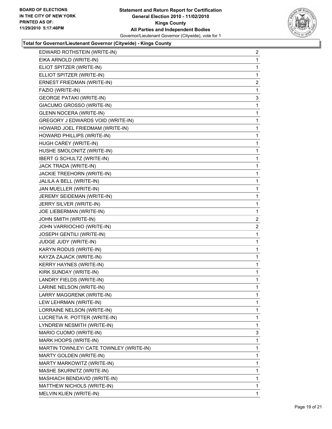

#### **Total for Governor/Lieutenant Governor (Citywide) - Kings County**

| EDWARD ROTHSTEIN (WRITE-IN)              | 2                       |
|------------------------------------------|-------------------------|
| EIKA ARNOLD (WRITE-IN)                   | 1                       |
| ELIOT SPITZER (WRITE-IN)                 | 1                       |
| ELLIOT SPITZER (WRITE-IN)                | 1                       |
| ERNEST FRIEDMAN (WRITE-IN)               | $\overline{a}$          |
| FAZIO (WRITE-IN)                         | 1                       |
| <b>GEORGE PATAKI (WRITE-IN)</b>          | 3                       |
| GIACUMO GROSSO (WRITE-IN)                | 1                       |
| <b>GLENN NOCERA (WRITE-IN)</b>           | 1                       |
| <b>GREGORY J EDWARDS VOID (WRITE-IN)</b> | 1                       |
| HOWARD JOEL FRIEDMAM (WRITE-IN)          | 1                       |
| HOWARD PHILLIPS (WRITE-IN)               | 1                       |
| HUGH CAREY (WRITE-IN)                    | 1                       |
| HUSHE SMOLONITZ (WRITE-IN)               | 1                       |
| <b>IBERT G SCHULTZ (WRITE-IN)</b>        | 1                       |
| JACK TRADA (WRITE-IN)                    | 1                       |
| JACKIE TREEHORN (WRITE-IN)               | 1                       |
| JALILA A BELL (WRITE-IN)                 | 1                       |
| JAN MUELLER (WRITE-IN)                   | 1                       |
| JEREMY SEIDEMAN (WRITE-IN)               | 1                       |
| JERRY SILVER (WRITE-IN)                  | 1                       |
| JOE LIEBERMAN (WRITE-IN)                 | 1                       |
| JOHN SMITH (WRITE-IN)                    | $\overline{\mathbf{c}}$ |
| JOHN VARRIOCHIO (WRITE-IN)               | $\overline{2}$          |
| JOSEPH GENTILI (WRITE-IN)                | 1                       |
| JUDGE JUDY (WRITE-IN)                    | 1                       |
| KARYN RODUS (WRITE-IN)                   | 1                       |
| KAYZA ZAJACK (WRITE-IN)                  | 1                       |
| KERRY HAYNES (WRITE-IN)                  | 1                       |
| KIRK SUNDAY (WRITE-IN)                   | 1                       |
| LANDRY FIELDS (WRITE-IN)                 | 1                       |
| LARINE NELSON (WRITE-IN)                 | 1                       |
| LARRY MAGGRENK (WRITE-IN)                | 1                       |
| LEW LEHRMAN (WRITE-IN)                   | 1                       |
| LORRAINE NELSON (WRITE-IN)               | 1                       |
| LUCRETIA R. POTTER (WRITE-IN)            | 1                       |
| LYNDREW NESMITH (WRITE-IN)               | 1                       |
| MARIO CUOMO (WRITE-IN)                   | 3                       |
| MARK HOOPS (WRITE-IN)                    | 1                       |
| MARTIN TOWNLEY/ CATE TOWNLEY (WRITE-IN)  | 1                       |
| MARTY GOLDEN (WRITE-IN)                  | 1                       |
| MARTY MARKOWITZ (WRITE-IN)               | 1                       |
| MASHE SKURNITZ (WRITE-IN)                | 1                       |
| MASHIACH BENDAVID (WRITE-IN)             | 1                       |
| MATTHEW NICHOLS (WRITE-IN)               | 1                       |
| MELVIN KLIEN (WRITE-IN)                  | 1                       |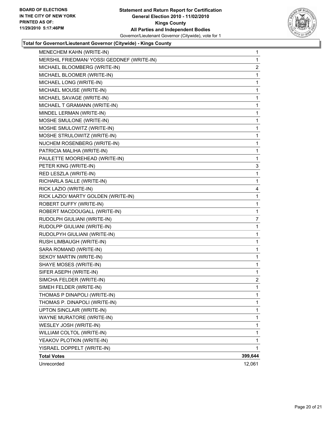

#### **Total for Governor/Lieutenant Governor (Citywide) - Kings County**

| YISRAEL DOPPELT (WRITE-IN)<br><b>Total Votes</b> | 1<br>399,644                                                                                                                                                                                                                                                                                                                                                                                                                                                                                                                                                                                                                                                                                                                                                                                                                                                                                                                                                                                                                                                                                                                                                       |
|--------------------------------------------------|--------------------------------------------------------------------------------------------------------------------------------------------------------------------------------------------------------------------------------------------------------------------------------------------------------------------------------------------------------------------------------------------------------------------------------------------------------------------------------------------------------------------------------------------------------------------------------------------------------------------------------------------------------------------------------------------------------------------------------------------------------------------------------------------------------------------------------------------------------------------------------------------------------------------------------------------------------------------------------------------------------------------------------------------------------------------------------------------------------------------------------------------------------------------|
|                                                  | 1                                                                                                                                                                                                                                                                                                                                                                                                                                                                                                                                                                                                                                                                                                                                                                                                                                                                                                                                                                                                                                                                                                                                                                  |
|                                                  | 1                                                                                                                                                                                                                                                                                                                                                                                                                                                                                                                                                                                                                                                                                                                                                                                                                                                                                                                                                                                                                                                                                                                                                                  |
|                                                  | 1                                                                                                                                                                                                                                                                                                                                                                                                                                                                                                                                                                                                                                                                                                                                                                                                                                                                                                                                                                                                                                                                                                                                                                  |
|                                                  | 1                                                                                                                                                                                                                                                                                                                                                                                                                                                                                                                                                                                                                                                                                                                                                                                                                                                                                                                                                                                                                                                                                                                                                                  |
|                                                  | 1                                                                                                                                                                                                                                                                                                                                                                                                                                                                                                                                                                                                                                                                                                                                                                                                                                                                                                                                                                                                                                                                                                                                                                  |
|                                                  | 1                                                                                                                                                                                                                                                                                                                                                                                                                                                                                                                                                                                                                                                                                                                                                                                                                                                                                                                                                                                                                                                                                                                                                                  |
|                                                  | 1                                                                                                                                                                                                                                                                                                                                                                                                                                                                                                                                                                                                                                                                                                                                                                                                                                                                                                                                                                                                                                                                                                                                                                  |
|                                                  | 1                                                                                                                                                                                                                                                                                                                                                                                                                                                                                                                                                                                                                                                                                                                                                                                                                                                                                                                                                                                                                                                                                                                                                                  |
|                                                  | $\mathbf{2}$                                                                                                                                                                                                                                                                                                                                                                                                                                                                                                                                                                                                                                                                                                                                                                                                                                                                                                                                                                                                                                                                                                                                                       |
|                                                  | 1                                                                                                                                                                                                                                                                                                                                                                                                                                                                                                                                                                                                                                                                                                                                                                                                                                                                                                                                                                                                                                                                                                                                                                  |
|                                                  | 1                                                                                                                                                                                                                                                                                                                                                                                                                                                                                                                                                                                                                                                                                                                                                                                                                                                                                                                                                                                                                                                                                                                                                                  |
|                                                  | 1                                                                                                                                                                                                                                                                                                                                                                                                                                                                                                                                                                                                                                                                                                                                                                                                                                                                                                                                                                                                                                                                                                                                                                  |
|                                                  | 1                                                                                                                                                                                                                                                                                                                                                                                                                                                                                                                                                                                                                                                                                                                                                                                                                                                                                                                                                                                                                                                                                                                                                                  |
|                                                  | 1                                                                                                                                                                                                                                                                                                                                                                                                                                                                                                                                                                                                                                                                                                                                                                                                                                                                                                                                                                                                                                                                                                                                                                  |
|                                                  | 1                                                                                                                                                                                                                                                                                                                                                                                                                                                                                                                                                                                                                                                                                                                                                                                                                                                                                                                                                                                                                                                                                                                                                                  |
|                                                  | 1                                                                                                                                                                                                                                                                                                                                                                                                                                                                                                                                                                                                                                                                                                                                                                                                                                                                                                                                                                                                                                                                                                                                                                  |
|                                                  | 7                                                                                                                                                                                                                                                                                                                                                                                                                                                                                                                                                                                                                                                                                                                                                                                                                                                                                                                                                                                                                                                                                                                                                                  |
|                                                  | 1                                                                                                                                                                                                                                                                                                                                                                                                                                                                                                                                                                                                                                                                                                                                                                                                                                                                                                                                                                                                                                                                                                                                                                  |
|                                                  | 1                                                                                                                                                                                                                                                                                                                                                                                                                                                                                                                                                                                                                                                                                                                                                                                                                                                                                                                                                                                                                                                                                                                                                                  |
|                                                  | 1                                                                                                                                                                                                                                                                                                                                                                                                                                                                                                                                                                                                                                                                                                                                                                                                                                                                                                                                                                                                                                                                                                                                                                  |
|                                                  | 4                                                                                                                                                                                                                                                                                                                                                                                                                                                                                                                                                                                                                                                                                                                                                                                                                                                                                                                                                                                                                                                                                                                                                                  |
|                                                  | 1                                                                                                                                                                                                                                                                                                                                                                                                                                                                                                                                                                                                                                                                                                                                                                                                                                                                                                                                                                                                                                                                                                                                                                  |
|                                                  | 1                                                                                                                                                                                                                                                                                                                                                                                                                                                                                                                                                                                                                                                                                                                                                                                                                                                                                                                                                                                                                                                                                                                                                                  |
|                                                  | 3                                                                                                                                                                                                                                                                                                                                                                                                                                                                                                                                                                                                                                                                                                                                                                                                                                                                                                                                                                                                                                                                                                                                                                  |
|                                                  | 1                                                                                                                                                                                                                                                                                                                                                                                                                                                                                                                                                                                                                                                                                                                                                                                                                                                                                                                                                                                                                                                                                                                                                                  |
|                                                  | 1                                                                                                                                                                                                                                                                                                                                                                                                                                                                                                                                                                                                                                                                                                                                                                                                                                                                                                                                                                                                                                                                                                                                                                  |
|                                                  | 1                                                                                                                                                                                                                                                                                                                                                                                                                                                                                                                                                                                                                                                                                                                                                                                                                                                                                                                                                                                                                                                                                                                                                                  |
|                                                  | 1                                                                                                                                                                                                                                                                                                                                                                                                                                                                                                                                                                                                                                                                                                                                                                                                                                                                                                                                                                                                                                                                                                                                                                  |
|                                                  | 1                                                                                                                                                                                                                                                                                                                                                                                                                                                                                                                                                                                                                                                                                                                                                                                                                                                                                                                                                                                                                                                                                                                                                                  |
|                                                  | 1                                                                                                                                                                                                                                                                                                                                                                                                                                                                                                                                                                                                                                                                                                                                                                                                                                                                                                                                                                                                                                                                                                                                                                  |
|                                                  | 1                                                                                                                                                                                                                                                                                                                                                                                                                                                                                                                                                                                                                                                                                                                                                                                                                                                                                                                                                                                                                                                                                                                                                                  |
|                                                  | 1                                                                                                                                                                                                                                                                                                                                                                                                                                                                                                                                                                                                                                                                                                                                                                                                                                                                                                                                                                                                                                                                                                                                                                  |
|                                                  | 1                                                                                                                                                                                                                                                                                                                                                                                                                                                                                                                                                                                                                                                                                                                                                                                                                                                                                                                                                                                                                                                                                                                                                                  |
|                                                  | 1                                                                                                                                                                                                                                                                                                                                                                                                                                                                                                                                                                                                                                                                                                                                                                                                                                                                                                                                                                                                                                                                                                                                                                  |
|                                                  | 1                                                                                                                                                                                                                                                                                                                                                                                                                                                                                                                                                                                                                                                                                                                                                                                                                                                                                                                                                                                                                                                                                                                                                                  |
|                                                  | 1                                                                                                                                                                                                                                                                                                                                                                                                                                                                                                                                                                                                                                                                                                                                                                                                                                                                                                                                                                                                                                                                                                                                                                  |
|                                                  | $\overline{\mathbf{c}}$                                                                                                                                                                                                                                                                                                                                                                                                                                                                                                                                                                                                                                                                                                                                                                                                                                                                                                                                                                                                                                                                                                                                            |
|                                                  | 1                                                                                                                                                                                                                                                                                                                                                                                                                                                                                                                                                                                                                                                                                                                                                                                                                                                                                                                                                                                                                                                                                                                                                                  |
| MENECHEM KAHN (WRITE-IN)                         | $\mathbf 1$                                                                                                                                                                                                                                                                                                                                                                                                                                                                                                                                                                                                                                                                                                                                                                                                                                                                                                                                                                                                                                                                                                                                                        |
|                                                  | MERSHIL FRIEDMAN/ YOSSI GEDDNEF (WRITE-IN)<br>MICHAEL BLOOMBERG (WRITE-IN)<br>MICHAEL BLOOMER (WRITE-IN)<br>MICHAEL LONG (WRITE-IN)<br>MICHAEL MOUSE (WRITE-IN)<br>MICHAEL SAVAGE (WRITE-IN)<br>MICHAEL T GRAMANN (WRITE-IN)<br>MINDEL LERMAN (WRITE-IN)<br>MOSHE SMULONE (WRITE-IN)<br>MOSHE SMULOWITZ (WRITE-IN)<br>MOSHE STRULOWITZ (WRITE-IN)<br>NUCHEM ROSENBERG (WRITE-IN)<br>PATRICIA MALIHA (WRITE-IN)<br>PAULETTE MOOREHEAD (WRITE-IN)<br>PETER KING (WRITE-IN)<br>RED LESZLA (WRITE-IN)<br>RICHARLA SALLE (WRITE-IN)<br>RICK LAZIO (WRITE-IN)<br>RICK LAZIO/ MARTY GOLDEN (WRITE-IN)<br>ROBERT DUFFY (WRITE-IN)<br>ROBERT MACDOUGALL (WRITE-IN)<br>RUDOLPH GIULIANI (WRITE-IN)<br>RUDOLPP GIULIANI (WRITE-IN)<br>RUDOLPYH GIULIANI (WRITE-IN)<br>RUSH LIMBAUGH (WRITE-IN)<br>SARA ROMAND (WRITE-IN)<br>SEKOY MARTIN (WRITE-IN)<br>SHAYE MOSES (WRITE-IN)<br>SIFER ASEPH (WRITE-IN)<br>SIMCHA FELDER (WRITE-IN)<br>SIMEH FELDER (WRITE-IN)<br>THOMAS P DINAPOLI (WRITE-IN)<br>THOMAS P. DINAPOLI (WRITE-IN)<br>UPTON SINCLAIR (WRITE-IN)<br>WAYNE MURATORE (WRITE-IN)<br>WESLEY JOSH (WRITE-IN)<br>WILLIAM COLTOL (WRITE-IN)<br>YEAKOV PLOTKIN (WRITE-IN) |